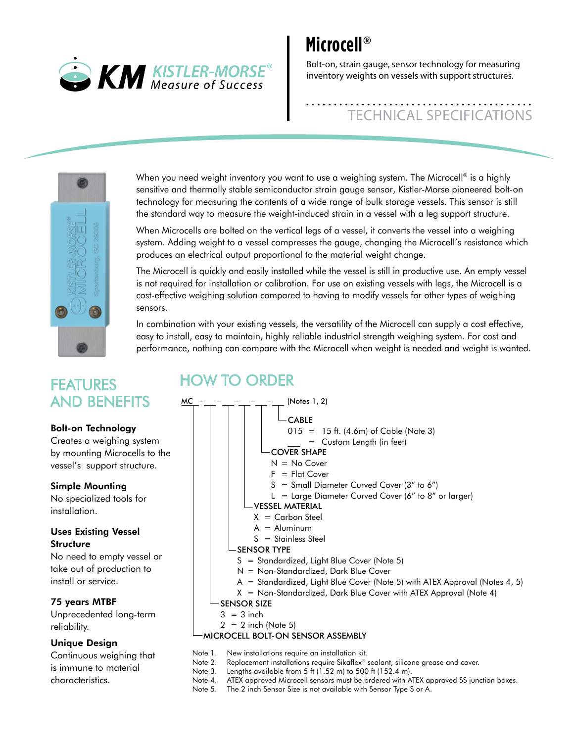

# **Microcell®**

Bolt-on, strain gauge, sensor technology for measuring inventory weights on vessels with support structures.

# TECHNICAL SPECIFICATIONS



When you need weight inventory you want to use a weighing system. The Microcell<sup>®</sup> is a highly sensitive and thermally stable semiconductor strain gauge sensor, Kistler-Morse pioneered bolt-on technology for measuring the contents of a wide range of bulk storage vessels. This sensor is still the standard way to measure the weight-induced strain in a vessel with a leg support structure.

When Microcells are bolted on the vertical legs of a vessel, it converts the vessel into a weighing system. Adding weight to a vessel compresses the gauge, changing the Microcell's resistance which produces an electrical output proportional to the material weight change.

The Microcell is quickly and easily installed while the vessel is still in productive use. An empty vessel is not required for installation or calibration. For use on existing vessels with legs, the Microcell is a cost-effective weighing solution compared to having to modify vessels for other types of weighing sensors.

In combination with your existing vessels, the versatility of the Microcell can supply a cost effective, easy to install, easy to maintain, highly reliable industrial strength weighing system. For cost and performance, nothing can compare with the Microcell when weight is needed and weight is wanted.

### FEATURES AnD BEnEFITS

#### Bolt-on Technology

Creates a weighing system by mounting Microcells to the vessel's support structure.

#### Simple Mounting

No specialized tools for installation.

#### Uses Existing Vessel **Structure**

No need to empty vessel or take out of production to install or service.

#### 75 years MTBF

Unprecedented long-term reliability.

#### Unique Design

Continuous weighing that is immune to material characteristics.

### HOW TO ORDER



- Note 2. Replacement installations require Sikaflex® sealant, silicone grease and cover.
- Note 3. Lengths available from 5 ft (1.52 m) to 500 ft (152.4 m).
- Note 4. ATEX approved Microcell sensors must be ordered with ATEX approved SS junction boxes.
- Note 5. The 2 inch Sensor Size is not available with Sensor Type S or A.